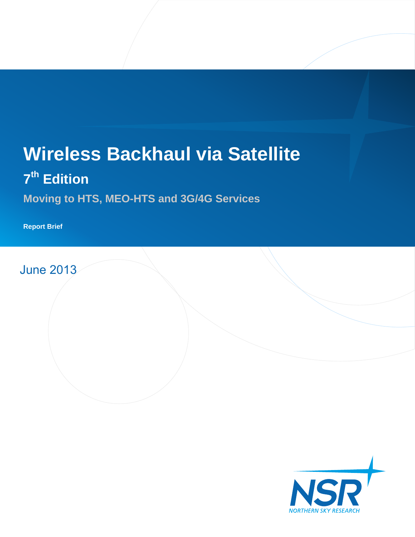# **Wireless Backhaul via Satellite**

## **7 th Edition**

**Moving to HTS, MEO-HTS and 3G/4G Services**

**Report Brief**

June 2013

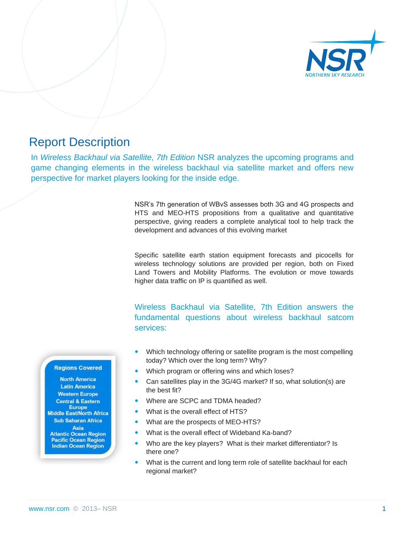

## Report Description

In *Wireless Backhaul via Satellite, 7th Edition* NSR analyzes the upcoming programs and game changing elements in the wireless backhaul via satellite market and offers new perspective for market players looking for the inside edge.

> NSR's 7th generation of WBvS assesses both 3G and 4G prospects and HTS and MEO-HTS propositions from a qualitative and quantitative perspective, giving readers a complete analytical tool to help track the development and advances of this evolving market

> Specific satellite earth station equipment forecasts and picocells for wireless technology solutions are provided per region, both on Fixed Land Towers and Mobility Platforms. The evolution or move towards higher data traffic on IP is quantified as well.

> Wireless Backhaul via Satellite, 7th Edition answers the fundamental questions about wireless backhaul satcom services:

- Which technology offering or satellite program is the most compelling today? Which over the long term? Why?
- Which program or offering wins and which loses?
- Can satellites play in the 3G/4G market? If so, what solution(s) are the best fit?
- Where are SCPC and TDMA headed?
- What is the overall effect of HTS?
- What are the prospects of MEO-HTS?
- What is the overall effect of Wideband Ka-band?
- Who are the key players? What is their market differentiator? Is there one?
- What is the current and long term role of satellite backhaul for each regional market?

#### **Regions Covered**

**North America Latin America Western Europe Central & Eastern Europe Middle East/North Africa Sub Saharan Africa** Asia **Atlantic Ocean Region Pacific Ocean Region Indian Ocean Region**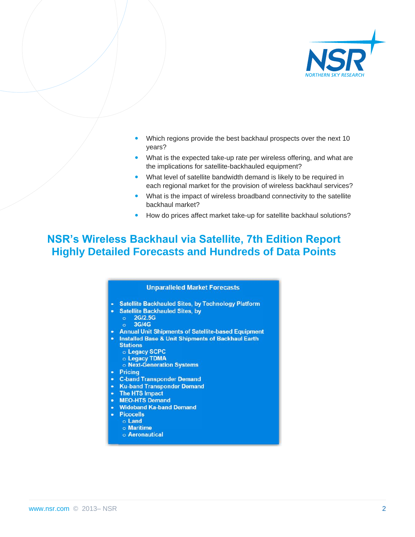

- Which regions provide the best backhaul prospects over the next 10 years?
- What is the expected take-up rate per wireless offering, and what are the implications for satellite-backhauled equipment?
- What level of satellite bandwidth demand is likely to be required in each regional market for the provision of wireless backhaul services?
- What is the impact of wireless broadband connectivity to the satellite backhaul market?
- How do prices affect market take-up for satellite backhaul solutions?

## **NSR's Wireless Backhaul via Satellite, 7th Edition Report Highly Detailed Forecasts and Hundreds of Data Points**

#### **Unparalleled Market Forecasts**

- Satellite Backhauled Sites, by Technology Platform
	- **Satellite Backhauled Sites, by**
	- $\circ$  2G/2.5G
	- 3G/4G
- **Annual Unit Shipments of Satellite-based Equipment**
- **Installed Base & Unit Shipments of Backhaul Earth** 
	- **Stations**
	- o Legacy SCPC
	- o Legacy TDMA
	- o Next-Generation Systems
- Pricing
- **C-band Transponder Demand**
- **Ku-band Transponder Demand**
- The HTS Impact
- MEO-HTS Demand
- **Wideband Ka-band Demand** 
	- **Picocells**
	- o Land
	- o Maritime o Aeronautical

www.nsr.com © 2013– NSR 2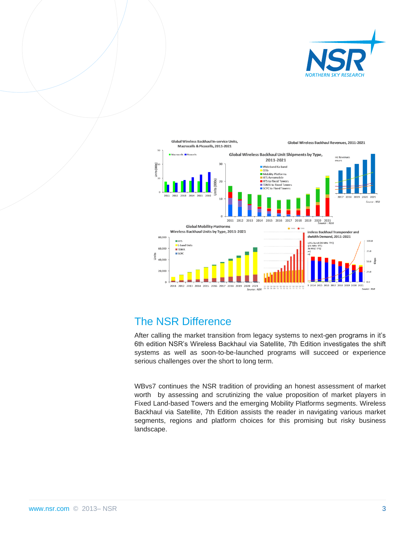



## The NSR Difference

After calling the market transition from legacy systems to next-gen programs in it's 6th edition NSR's Wireless Backhaul via Satellite, 7th Edition investigates the shift systems as well as soon-to-be-launched programs will succeed or experience serious challenges over the short to long term.

WBvs7 continues the NSR tradition of providing an honest assessment of market worth by assessing and scrutinizing the value proposition of market players in Fixed Land-based Towers and the emerging Mobility Platforms segments. Wireless Backhaul via Satellite, 7th Edition assists the reader in navigating various market segments, regions and platform choices for this promising but risky business landscape.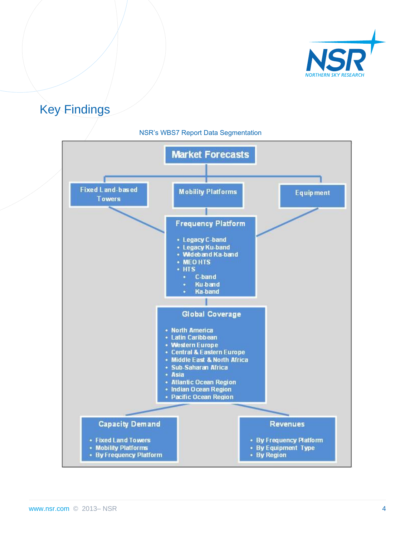

## Key Findings



#### NSR's WBS7 Report Data Segmentation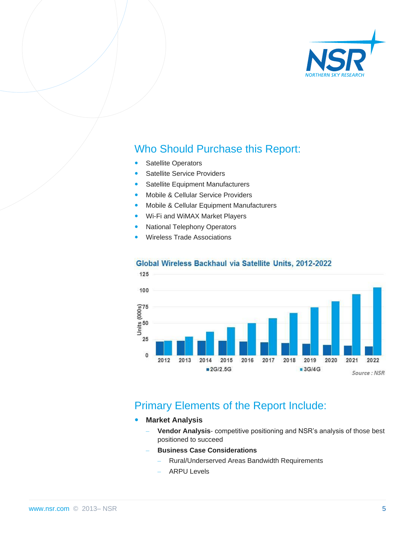

## Who Should Purchase this Report:

- Satellite Operators
- Satellite Service Providers
- Satellite Equipment Manufacturers
- Mobile & Cellular Service Providers
- Mobile & Cellular Equipment Manufacturers
- Wi-Fi and WiMAX Market Players
- National Telephony Operators
- Wireless Trade Associations



#### Global Wireless Backhaul via Satellite Units, 2012-2022

### Primary Elements of the Report Include:

- **Market Analysis**
	- **Vendor Analysis** competitive positioning and NSR's analysis of those best positioned to succeed
	- **Business Case Considerations**
		- Rural/Underserved Areas Bandwidth Requirements
		- ARPU Levels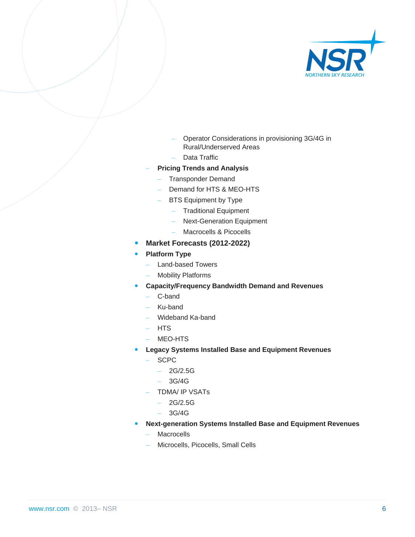

- Operator Considerations in provisioning 3G/4G in Rural/Underserved Areas
- Data Traffic
- **Pricing Trends and Analysis**
	- Transponder Demand
	- Demand for HTS & MEO-HTS
		- BTS Equipment by Type
			- Traditional Equipment
			- Next-Generation Equipment
			- Macrocells & Picocells
- **Market Forecasts (2012-2022)**
- **Platform Type**
	- Land-based Towers
	- Mobility Platforms
- **Capacity/Frequency Bandwidth Demand and Revenues**
	- C-band
	- Ku-band
	- Wideband Ka-band
	- HTS
	- MEO-HTS
- **Legacy Systems Installed Base and Equipment Revenues**
	- SCPC
		- $-2G/2.5G$
		- 3G/4G
	- TDMA/ IP VSATs
		- 2G/2.5G
		- 3G/4G
	- **Next-generation Systems Installed Base and Equipment Revenues**
		- **Macrocells**
		- Microcells, Picocells, Small Cells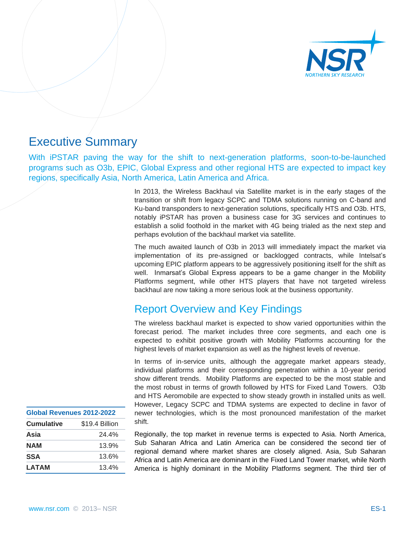

## Executive Summary

With iPSTAR paving the way for the shift to next-generation platforms, soon-to-be-launched programs such as O3b, EPIC, Global Express and other regional HTS are expected to impact key regions, specifically Asia, North America, Latin America and Africa.

> In 2013, the Wireless Backhaul via Satellite market is in the early stages of the transition or shift from legacy SCPC and TDMA solutions running on C-band and Ku-band transponders to next-generation solutions, specifically HTS and O3b. HTS, notably iPSTAR has proven a business case for 3G services and continues to establish a solid foothold in the market with 4G being trialed as the next step and perhaps evolution of the backhaul market via satellite.

> The much awaited launch of O3b in 2013 will immediately impact the market via implementation of its pre-assigned or backlogged contracts, while Intelsat's upcoming EPIC platform appears to be aggressively positioning itself for the shift as well. Inmarsat's Global Express appears to be a game changer in the Mobility Platforms segment, while other HTS players that have not targeted wireless backhaul are now taking a more serious look at the business opportunity.

## Report Overview and Key Findings

The wireless backhaul market is expected to show varied opportunities within the forecast period. The market includes three core segments, and each one is expected to exhibit positive growth with Mobility Platforms accounting for the highest levels of market expansion as well as the highest levels of revenue.

In terms of in-service units, although the aggregate market appears steady, individual platforms and their corresponding penetration within a 10-year period show different trends. Mobility Platforms are expected to be the most stable and the most robust in terms of growth followed by HTS for Fixed Land Towers. O3b and HTS Aeromobile are expected to show steady growth in installed units as well. However, Legacy SCPC and TDMA systems are expected to decline in favor of newer technologies, which is the most pronounced manifestation of the market shift.

Regionally, the top market in revenue terms is expected to Asia. North America, Sub Saharan Africa and Latin America can be considered the second tier of regional demand where market shares are closely aligned. Asia, Sub Saharan Africa and Latin America are dominant in the Fixed Land Tower market, while North America is highly dominant in the Mobility Platforms segment. The third tier of

| Global Revenues 2012-2022 |                |
|---------------------------|----------------|
| <b>Cumulative</b>         | \$19.4 Billion |
| Asia                      | 24.4%          |
| <b>NAM</b>                | 13.9%          |
| <b>SSA</b>                | 13.6%          |
| <b>LATAM</b>              | 13.4%          |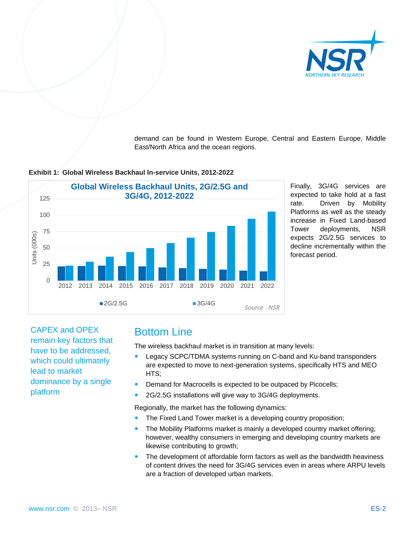

demand can be found in Western Europe, Central and Eastern Europe, Middle East/North Africa and the ocean regions.



#### **Exhibit 1: Global Wireless Backhaul In-service Units, 2012-2022**

Finally, 3G/4G services are expected to take hold at a fast rate. Driven by Mobility Platforms as well as the steady increase in Fixed Land-based Tower deployments, NSR expects 2G/2.5G services to decline incrementally within the forecast period.

CAPEX and OPEX remain key factors that have to be addressed, which could ultimately lead to market dominance by a single platform

## Bottom Line

The wireless backhaul market is in transition at many levels:

- Legacy SCPC/TDMA systems running on C-band and Ku-band transponders are expected to move to next-generation systems, specifically HTS and MEO HTS;
- Demand for Macrocells is expected to be outpaced by Picocells;
- 2G/2.5G installations will give way to 3G/4G deployments.

Regionally, the market has the following dynamics:

- The Fixed Land Tower market is a developing country proposition;
- The Mobility Platforms market is mainly a developed country market offering; however, wealthy consumers in emerging and developing country markets are likewise contributing to growth;
- The development of affordable form factors as well as the bandwidth heaviness of content drives the need for 3G/4G services even in areas where ARPU levels are a fraction of developed urban markets.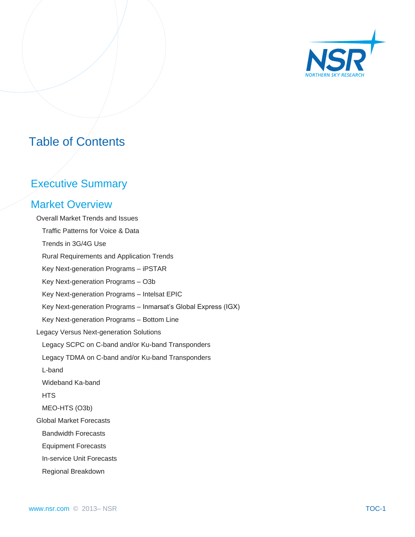

## Table of Contents

## Executive Summary

### Market Overview

 Overall Market Trends and Issues Traffic Patterns for Voice & Data Trends in 3G/4G Use Rural Requirements and Application Trends Key Next-generation Programs – iPSTAR Key Next-generation Programs – O3b Key Next-generation Programs – Intelsat EPIC Key Next-generation Programs – Inmarsat's Global Express (IGX) Key Next-generation Programs – Bottom Line Legacy Versus Next-generation Solutions Legacy SCPC on C-band and/or Ku-band Transponders Legacy TDMA on C-band and/or Ku-band Transponders L-band Wideband Ka-band **HTS**  MEO-HTS (O3b) Global Market Forecasts Bandwidth Forecasts Equipment Forecasts In-service Unit Forecasts Regional Breakdown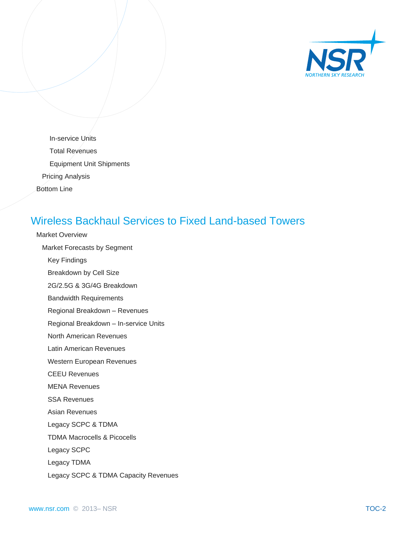

 In-service Units Total Revenues Equipment Unit Shipments Pricing Analysis Bottom Line

## Wireless Backhaul Services to Fixed Land-based Towers

 Market Overview Market Forecasts by Segment

Key Findings

Breakdown by Cell Size

2G/2.5G & 3G/4G Breakdown

Bandwidth Requirements

Regional Breakdown – Revenues

Regional Breakdown – In-service Units

North American Revenues

Latin American Revenues

Western European Revenues

CEEU Revenues

MENA Revenues

SSA Revenues

Asian Revenues

Legacy SCPC & TDMA

TDMA Macrocells & Picocells

Legacy SCPC

Legacy TDMA

Legacy SCPC & TDMA Capacity Revenues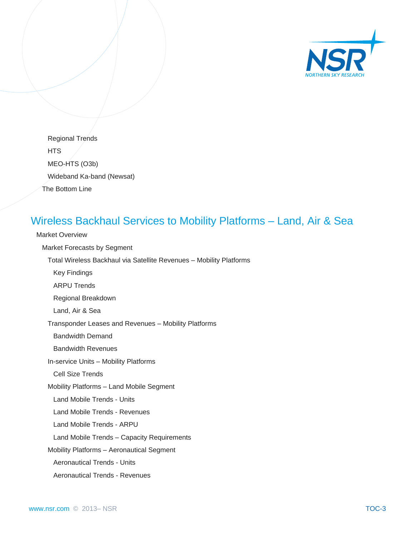

 Regional Trends **HTS**  MEO-HTS (O3b) Wideband Ka-band (Newsat) The Bottom Line

## Wireless Backhaul Services to Mobility Platforms – Land, Air & Sea

 Market Overview Market Forecasts by Segment Total Wireless Backhaul via Satellite Revenues – Mobility Platforms Key Findings ARPU Trends Regional Breakdown Land, Air & Sea Transponder Leases and Revenues – Mobility Platforms Bandwidth Demand Bandwidth Revenues In-service Units – Mobility Platforms Cell Size Trends Mobility Platforms – Land Mobile Segment Land Mobile Trends - Units Land Mobile Trends - Revenues Land Mobile Trends - ARPU Land Mobile Trends – Capacity Requirements Mobility Platforms – Aeronautical Segment Aeronautical Trends - Units Aeronautical Trends - Revenues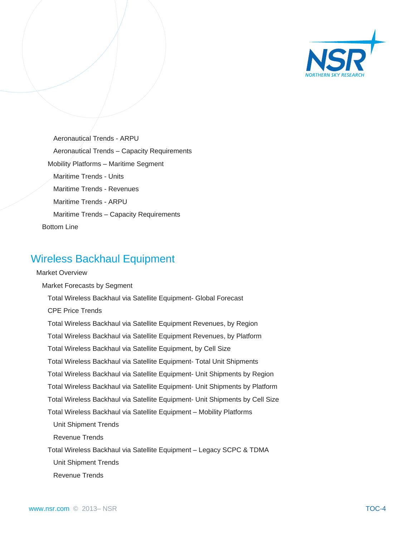

 Aeronautical Trends - ARPU Aeronautical Trends – Capacity Requirements Mobility Platforms – Maritime Segment Maritime Trends - Units Maritime Trends - Revenues Maritime Trends - ARPU Maritime Trends – Capacity Requirements Bottom Line

## Wireless Backhaul Equipment

### Market Overview

Market Forecasts by Segment

Total Wireless Backhaul via Satellite Equipment- Global Forecast

CPE Price Trends

Total Wireless Backhaul via Satellite Equipment Revenues, by Region

Total Wireless Backhaul via Satellite Equipment Revenues, by Platform

Total Wireless Backhaul via Satellite Equipment, by Cell Size

Total Wireless Backhaul via Satellite Equipment- Total Unit Shipments

Total Wireless Backhaul via Satellite Equipment- Unit Shipments by Region

Total Wireless Backhaul via Satellite Equipment- Unit Shipments by Platform

Total Wireless Backhaul via Satellite Equipment- Unit Shipments by Cell Size

Total Wireless Backhaul via Satellite Equipment – Mobility Platforms

Unit Shipment Trends

Revenue Trends

Total Wireless Backhaul via Satellite Equipment – Legacy SCPC & TDMA

Unit Shipment Trends

Revenue Trends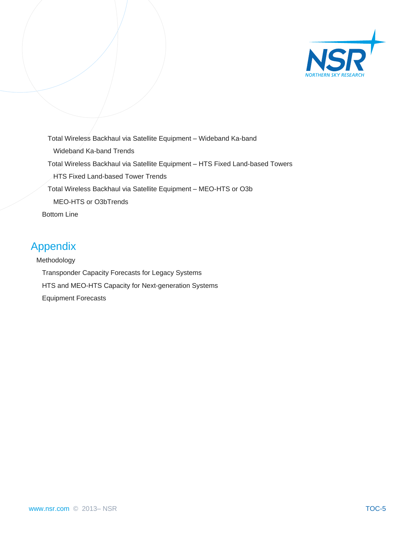

 Total Wireless Backhaul via Satellite Equipment – Wideband Ka-band Wideband Ka-band Trends Total Wireless Backhaul via Satellite Equipment – HTS Fixed Land-based Towers HTS Fixed Land-based Tower Trends Total Wireless Backhaul via Satellite Equipment – MEO-HTS or O3b MEO-HTS or O3bTrends Bottom Line

## Appendix

 Methodology Transponder Capacity Forecasts for Legacy Systems HTS and MEO-HTS Capacity for Next-generation Systems Equipment Forecasts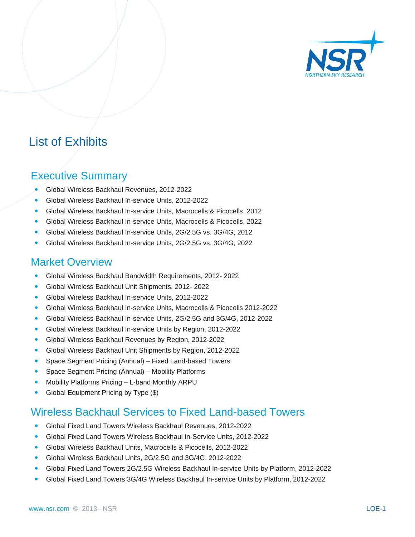

## List of Exhibits

### Executive Summary

- Global Wireless Backhaul Revenues, 2012-2022
- Global Wireless Backhaul In-service Units, 2012-2022
- Global Wireless Backhaul In-service Units, Macrocells & Picocells, 2012
- Global Wireless Backhaul In-service Units, Macrocells & Picocells, 2022
- Global Wireless Backhaul In-service Units, 2G/2.5G vs. 3G/4G, 2012
- Global Wireless Backhaul In-service Units, 2G/2.5G vs. 3G/4G, 2022

### Market Overview

- Global Wireless Backhaul Bandwidth Requirements, 2012- 2022
- Global Wireless Backhaul Unit Shipments, 2012- 2022
- Global Wireless Backhaul In-service Units, 2012-2022
- Global Wireless Backhaul In-service Units, Macrocells & Picocells 2012-2022
- Global Wireless Backhaul In-service Units, 2G/2.5G and 3G/4G, 2012-2022
- Global Wireless Backhaul In-service Units by Region, 2012-2022
- Global Wireless Backhaul Revenues by Region, 2012-2022
- Global Wireless Backhaul Unit Shipments by Region, 2012-2022
- Space Segment Pricing (Annual) Fixed Land-based Towers
- Space Segment Pricing (Annual) Mobility Platforms
- Mobility Platforms Pricing L-band Monthly ARPU
- Global Equipment Pricing by Type (\$)

### Wireless Backhaul Services to Fixed Land-based Towers

- Global Fixed Land Towers Wireless Backhaul Revenues, 2012-2022
- Global Fixed Land Towers Wireless Backhaul In-Service Units, 2012-2022
- Global Wireless Backhaul Units, Macrocells & Picocells, 2012-2022
- Global Wireless Backhaul Units, 2G/2.5G and 3G/4G, 2012-2022
- Global Fixed Land Towers 2G/2.5G Wireless Backhaul In-service Units by Platform, 2012-2022
- Global Fixed Land Towers 3G/4G Wireless Backhaul In-service Units by Platform, 2012-2022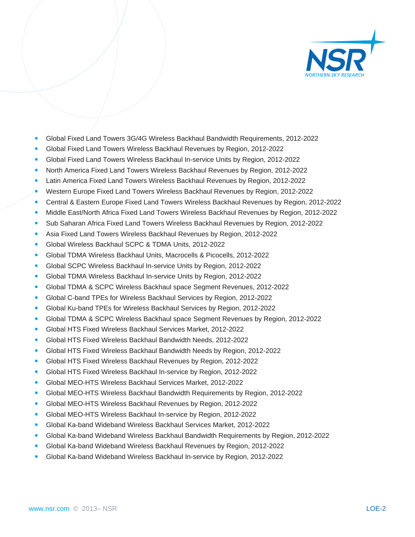

- Global Fixed Land Towers 3G/4G Wireless Backhaul Bandwidth Requirements, 2012-2022
- Global Fixed Land Towers Wireless Backhaul Revenues by Region, 2012-2022
- Global Fixed Land Towers Wireless Backhaul In-service Units by Region, 2012-2022
- North America Fixed Land Towers Wireless Backhaul Revenues by Region, 2012-2022
- Latin America Fixed Land Towers Wireless Backhaul Revenues by Region, 2012-2022
- Western Europe Fixed Land Towers Wireless Backhaul Revenues by Region, 2012-2022
- Central & Eastern Europe Fixed Land Towers Wireless Backhaul Revenues by Region, 2012-2022
- Middle East/North Africa Fixed Land Towers Wireless Backhaul Revenues by Region, 2012-2022
- Sub Saharan Africa Fixed Land Towers Wireless Backhaul Revenues by Region, 2012-2022
- Asia Fixed Land Towers Wireless Backhaul Revenues by Region, 2012-2022
- Global Wireless Backhaul SCPC & TDMA Units, 2012-2022
- Global TDMA Wireless Backhaul Units, Macrocells & Picocells, 2012-2022
- Global SCPC Wireless Backhaul In-service Units by Region, 2012-2022
- Global TDMA Wireless Backhaul In-service Units by Region, 2012-2022
- Global TDMA & SCPC Wireless Backhaul space Segment Revenues, 2012-2022
- Global C-band TPEs for Wireless Backhaul Services by Region, 2012-2022
- Global Ku-band TPEs for Wireless Backhaul Services by Region, 2012-2022
- Global TDMA & SCPC Wireless Backhaul space Segment Revenues by Region, 2012-2022
- Global HTS Fixed Wireless Backhaul Services Market, 2012-2022
- Global HTS Fixed Wireless Backhaul Bandwidth Needs, 2012-2022
- Global HTS Fixed Wireless Backhaul Bandwidth Needs by Region, 2012-2022
- Global HTS Fixed Wireless Backhaul Revenues by Region, 2012-2022
- Global HTS Fixed Wireless Backhaul In-service by Region, 2012-2022
- Global MEO-HTS Wireless Backhaul Services Market, 2012-2022
- Global MEO-HTS Wireless Backhaul Bandwidth Requirements by Region, 2012-2022
- Global MEO-HTS Wireless Backhaul Revenues by Region, 2012-2022
- Global MEO-HTS Wireless Backhaul In-service by Region, 2012-2022
- Global Ka-band Wideband Wireless Backhaul Services Market, 2012-2022
- Global Ka-band Wideband Wireless Backhaul Bandwidth Requirements by Region, 2012-2022
- Global Ka-band Wideband Wireless Backhaul Revenues by Region, 2012-2022
- Global Ka-band Wideband Wireless Backhaul In-service by Region, 2012-2022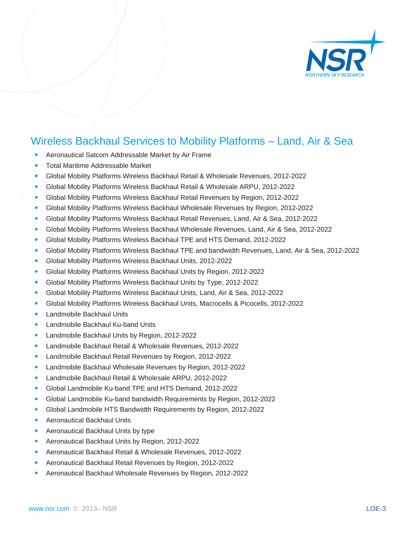

## Wireless Backhaul Services to Mobility Platforms – Land, Air & Sea

- Aeronautical Satcom Addressable Market by Air Frame
- Total Maritime Addressable Market
- Global Mobility Platforms Wireless Backhaul Retail & Wholesale Revenues, 2012-2022
- Global Mobility Platforms Wireless Backhaul Retail & Wholesale ARPU, 2012-2022
- Global Mobility Platforms Wireless Backhaul Retail Revenues by Region, 2012-2022
- Global Mobility Platforms Wireless Backhaul Wholesale Revenues by Region, 2012-2022
- Global Mobility Platforms Wireless Backhaul Retail Revenues, Land, Air & Sea, 2012-2022
- Global Mobility Platforms Wireless Backhaul Wholesale Revenues, Land, Air & Sea, 2012-2022
- Global Mobility Platforms Wireless Backhaul TPE and HTS Demand, 2012-2022
- Global Mobility Platforms Wireless Backhaul TPE and bandwidth Revenues, Land, Air & Sea, 2012-2022
- Global Mobility Platforms Wireless Backhaul Units, 2012-2022
- Global Mobility Platforms Wireless Backhaul Units by Region, 2012-2022
- Global Mobility Platforms Wireless Backhaul Units by Type, 2012-2022
- Global Mobility Platforms Wireless Backhaul Units, Land, Air & Sea, 2012-2022
- Global Mobility Platforms Wireless Backhaul Units, Macrocells & Picocells, 2012-2022
- Landmobile Backhaul Units
- Landmobile Backhaul Ku-band Units
- Landmobile Backhaul Units by Region, 2012-2022
- Landmobile Backhaul Retail & Wholesale Revenues, 2012-2022
- Landmobile Backhaul Retail Revenues by Region, 2012-2022
- Landmobile Backhaul Wholesale Revenues by Region, 2012-2022
- Landmobile Backhaul Retail & Wholesale ARPU, 2012-2022
- Global Landmobile Ku-band TPE and HTS Demand, 2012-2022
- Global Landmobile Ku-band bandwidth Requirements by Region, 2012-2022
- Global Landmobile HTS Bandwidth Requirements by Region, 2012-2022
- Aeronautical Backhaul Units
- Aeronautical Backhaul Units by type
- Aeronautical Backhaul Units by Region, 2012-2022
- Aeronautical Backhaul Retail & Wholesale Revenues, 2012-2022
- Aeronautical Backhaul Retail Revenues by Region, 2012-2022
- Aeronautical Backhaul Wholesale Revenues by Region, 2012-2022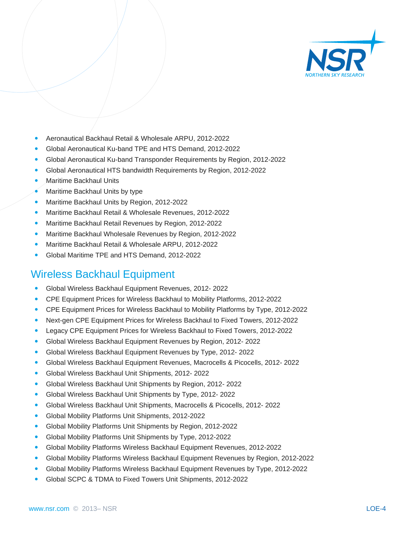

- Aeronautical Backhaul Retail & Wholesale ARPU, 2012-2022
- Global Aeronautical Ku-band TPE and HTS Demand, 2012-2022
- Global Aeronautical Ku-band Transponder Requirements by Region, 2012-2022
- Global Aeronautical HTS bandwidth Requirements by Region, 2012-2022
- Maritime Backhaul Units
- Maritime Backhaul Units by type
- Maritime Backhaul Units by Region, 2012-2022
- Maritime Backhaul Retail & Wholesale Revenues, 2012-2022
- Maritime Backhaul Retail Revenues by Region, 2012-2022
- Maritime Backhaul Wholesale Revenues by Region, 2012-2022
- Maritime Backhaul Retail & Wholesale ARPU, 2012-2022
- Global Maritime TPE and HTS Demand, 2012-2022

## Wireless Backhaul Equipment

- Global Wireless Backhaul Equipment Revenues, 2012- 2022
- CPE Equipment Prices for Wireless Backhaul to Mobility Platforms, 2012-2022
- CPE Equipment Prices for Wireless Backhaul to Mobility Platforms by Type, 2012-2022
- Next-gen CPE Equipment Prices for Wireless Backhaul to Fixed Towers, 2012-2022
- Legacy CPE Equipment Prices for Wireless Backhaul to Fixed Towers, 2012-2022
- Global Wireless Backhaul Equipment Revenues by Region, 2012- 2022
- Global Wireless Backhaul Equipment Revenues by Type, 2012- 2022
- Global Wireless Backhaul Equipment Revenues, Macrocells & Picocells, 2012- 2022
- Global Wireless Backhaul Unit Shipments, 2012- 2022
- Global Wireless Backhaul Unit Shipments by Region, 2012- 2022
- Global Wireless Backhaul Unit Shipments by Type, 2012- 2022
- Global Wireless Backhaul Unit Shipments, Macrocells & Picocells, 2012- 2022
- Global Mobility Platforms Unit Shipments, 2012-2022
- Global Mobility Platforms Unit Shipments by Region, 2012-2022
- Global Mobility Platforms Unit Shipments by Type, 2012-2022
- Global Mobility Platforms Wireless Backhaul Equipment Revenues, 2012-2022
- Global Mobility Platforms Wireless Backhaul Equipment Revenues by Region, 2012-2022
- Global Mobility Platforms Wireless Backhaul Equipment Revenues by Type, 2012-2022
- Global SCPC & TDMA to Fixed Towers Unit Shipments, 2012-2022